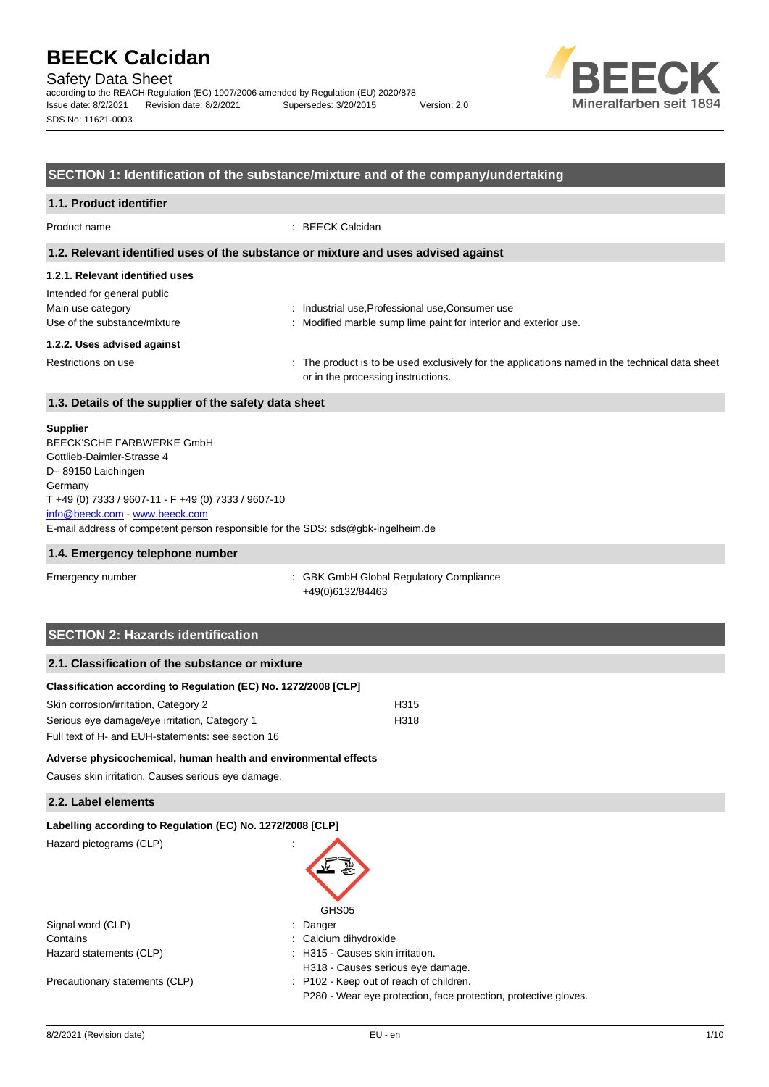Safety Data Sheet

according to the REACH Regulation (EC) 1907/2006 amended by Regulation (EU) 2020/878 Issue date: 8/2/2021 Revision date: 8/2/2021 Supersedes: 3/20/2015 Version: 2.0 SDS No: 11621-0003



## **SECTION 1: Identification of the substance/mixture and of the company/undertaking**

| 1.1. Product identifier                                                                                             |                                                                                                                                      |  |  |
|---------------------------------------------------------------------------------------------------------------------|--------------------------------------------------------------------------------------------------------------------------------------|--|--|
| Product name                                                                                                        | $: BEECK$ Calcidan                                                                                                                   |  |  |
| 1.2. Relevant identified uses of the substance or mixture and uses advised against                                  |                                                                                                                                      |  |  |
| 1.2.1. Relevant identified uses<br>Intended for general public<br>Main use category<br>Use of the substance/mixture | : Industrial use, Professional use, Consumer use<br>: Modified marble sump lime paint for interior and exterior use.                 |  |  |
| 1.2.2. Uses advised against<br>Restrictions on use                                                                  | : The product is to be used exclusively for the applications named in the technical data sheet<br>or in the processing instructions. |  |  |
| 1.3. Details of the supplier of the safety data sheet                                                               |                                                                                                                                      |  |  |

#### **Supplier**

E-mail address of competent person responsible for the SDS: sds@gbk-ingelheim.de BEECK'SCHE FARBWERKE GmbH Gottlieb-Daimler-Strasse 4 D– 89150 Laichingen **Germany** T +49 (0) 7333 / 9607-11 - F +49 (0) 7333 / 9607-10 [info@beeck.com](mailto:info@beeck.com) - [www.beeck.com](http://www.beeck.com/)

#### **1.4. Emergency telephone number**

Emergency number : GBK GmbH Global Regulatory Compliance +49(0)6132/84463

## **SECTION 2: Hazards identification**

## **2.1. Classification of the substance or mixture**

| Classification according to Regulation (EC) No. 1272/2008 [CLP] |                  |
|-----------------------------------------------------------------|------------------|
| Skin corrosion/irritation, Category 2                           | H <sub>315</sub> |
| Serious eye damage/eye irritation, Category 1                   | H318             |
| Full text of H- and EUH-statements: see section 16              |                  |

### **Adverse physicochemical, human health and environmental effects**

Causes skin irritation. Causes serious eye damage.

## **2.2. Label elements**

| Labelling according to Regulation (EC) No. 1272/2008 [CLP] |                                                                 |
|------------------------------------------------------------|-----------------------------------------------------------------|
| Hazard pictograms (CLP)                                    | $\mathbf{r}$                                                    |
|                                                            | GHS05                                                           |
| Signal word (CLP)                                          | : Danger                                                        |
| Contains                                                   | : Calcium dihydroxide                                           |
| Hazard statements (CLP)                                    | : H315 - Causes skin irritation.                                |
|                                                            | H318 - Causes serious eye damage.                               |
| Precautionary statements (CLP)                             | : P102 - Keep out of reach of children.                         |
|                                                            | P280 - Wear eye protection, face protection, protective gloves. |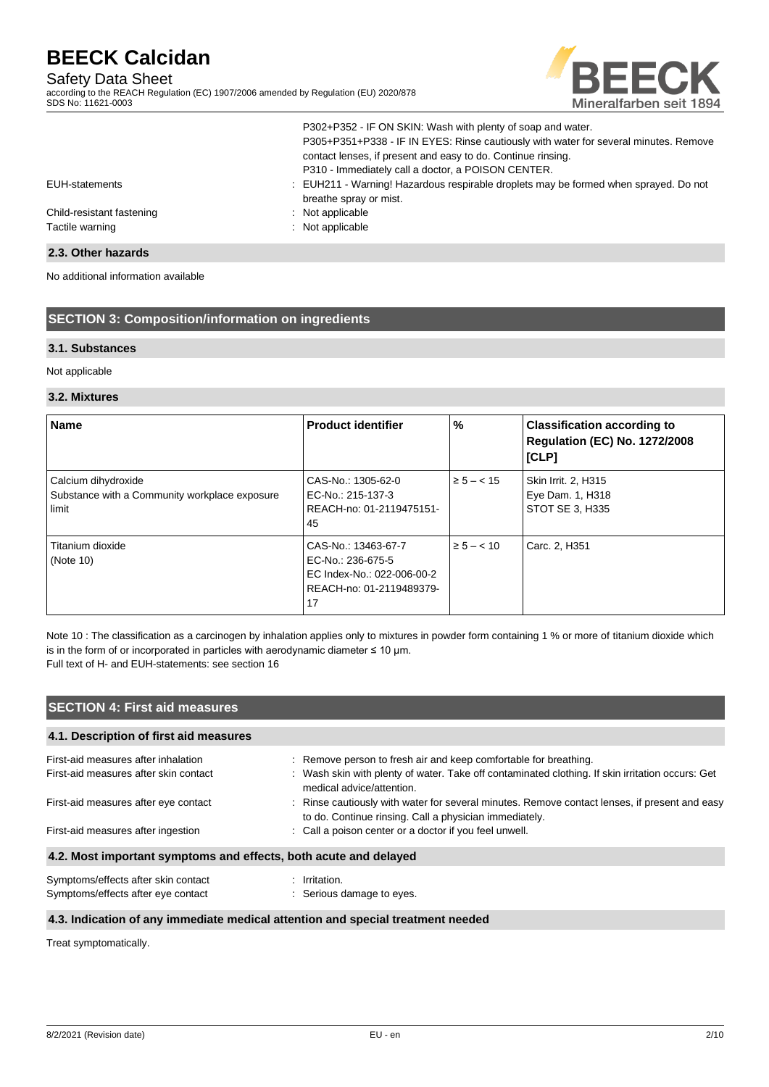## Safety Data Sheet

according to the REACH Regulation (EC) 1907/2006 amended by Regulation (EU) 2020/878 SDS No: 11621-0003



|                           | P302+P352 - IF ON SKIN: Wash with plenty of soap and water.<br>P305+P351+P338 - IF IN EYES: Rinse cautiously with water for several minutes. Remove<br>contact lenses, if present and easy to do. Continue rinsing.<br>P310 - Immediately call a doctor, a POISON CENTER. |
|---------------------------|---------------------------------------------------------------------------------------------------------------------------------------------------------------------------------------------------------------------------------------------------------------------------|
| EUH-statements            | : EUH211 - Warning! Hazardous respirable droplets may be formed when sprayed. Do not<br>breathe spray or mist.                                                                                                                                                            |
| Child-resistant fastening | : Not applicable                                                                                                                                                                                                                                                          |
| Tactile warning           | : Not applicable                                                                                                                                                                                                                                                          |

## **2.3. Other hazards**

No additional information available

## **SECTION 3: Composition/information on ingredients**

## **3.1. Substances**

Not applicable

### **3.2. Mixtures**

| <b>Name</b>                                                                   | <b>Product identifier</b>                                                                                | %              | <b>Classification according to</b><br><b>Regulation (EC) No. 1272/2008</b><br>[CLP] |
|-------------------------------------------------------------------------------|----------------------------------------------------------------------------------------------------------|----------------|-------------------------------------------------------------------------------------|
| Calcium dihydroxide<br>Substance with a Community workplace exposure<br>limit | CAS-No.: 1305-62-0<br>EC-No.: 215-137-3<br>REACH-no: 01-2119475151-<br>45                                | $\ge 5 - < 15$ | <b>Skin Irrit. 2, H315</b><br>Eye Dam. 1, H318<br>STOT SE 3, H335                   |
| Titanium dioxide<br>(Note 10)                                                 | CAS-No.: 13463-67-7<br>EC-No.: 236-675-5<br>EC Index-No.: 022-006-00-2<br>REACH-no: 01-2119489379-<br>17 | $\ge 5 - < 10$ | Carc. 2, H351                                                                       |

Note 10 : The classification as a carcinogen by inhalation applies only to mixtures in powder form containing 1 % or more of titanium dioxide which is in the form of or incorporated in particles with aerodynamic diameter  $\leq 10 \,\mu m$ . Full text of H- and EUH-statements: see section 16

## **SECTION 4: First aid measures**

## **4.1. Description of first aid measures**

| First-aid measures after inhalation                              | : Remove person to fresh air and keep comfortable for breathing.                                                                                        |
|------------------------------------------------------------------|---------------------------------------------------------------------------------------------------------------------------------------------------------|
| First-aid measures after skin contact                            | : Wash skin with plenty of water. Take off contaminated clothing. If skin irritation occurs: Get<br>medical advice/attention.                           |
| First-aid measures after eye contact                             | : Rinse cautiously with water for several minutes. Remove contact lenses, if present and easy<br>to do. Continue rinsing. Call a physician immediately. |
| First-aid measures after ingestion                               | : Call a poison center or a doctor if you feel unwell.                                                                                                  |
| 4.2. Most important symptoms and effects, both acute and delayed |                                                                                                                                                         |
| Symptoms/effects after skin contact                              | Irritation.                                                                                                                                             |

Symptoms/effects after eye contact : Serious damage to eyes.

### **4.3. Indication of any immediate medical attention and special treatment needed**

Treat symptomatically.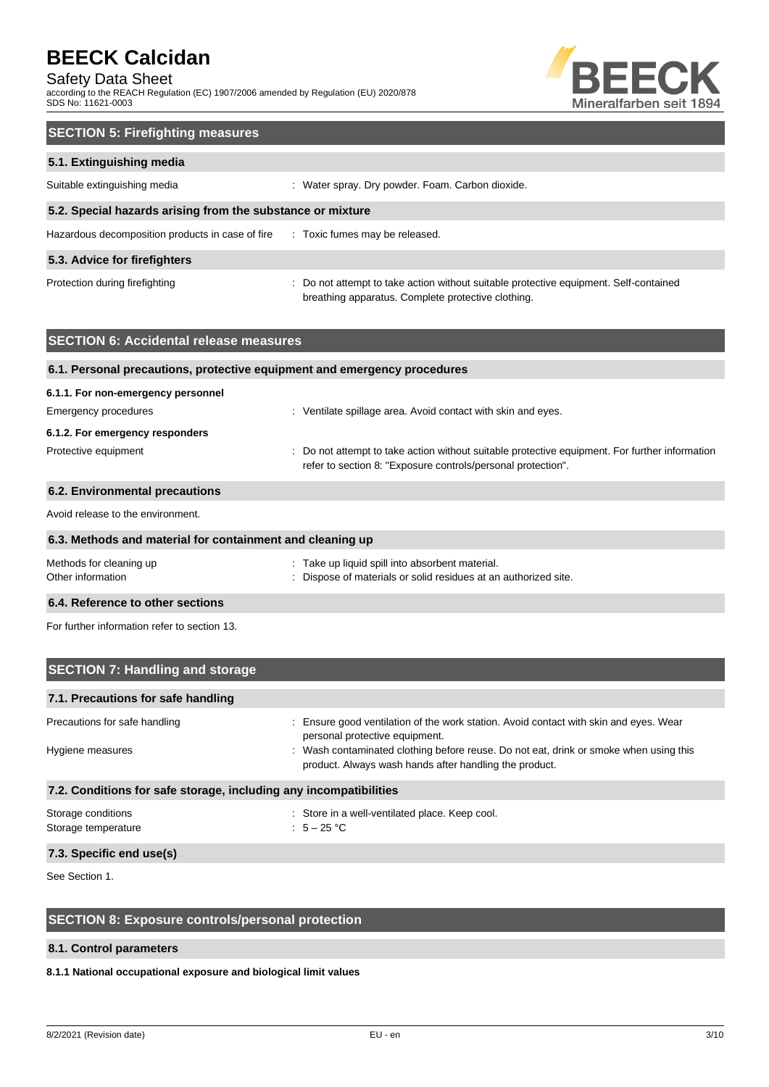## Safety Data Sheet

according to the REACH Regulation (EC) 1907/2006 amended by Regulation (EU) 2020/878 SDS No: 11621-0003



| <b>SECTION 5: Firefighting measures</b>                    |                                                                                                                                             |  |  |
|------------------------------------------------------------|---------------------------------------------------------------------------------------------------------------------------------------------|--|--|
| 5.1. Extinguishing media                                   |                                                                                                                                             |  |  |
| Suitable extinguishing media                               | : Water spray. Dry powder. Foam. Carbon dioxide.                                                                                            |  |  |
| 5.2. Special hazards arising from the substance or mixture |                                                                                                                                             |  |  |
| Hazardous decomposition products in case of fire           | : Toxic fumes may be released.                                                                                                              |  |  |
| 5.3. Advice for firefighters                               |                                                                                                                                             |  |  |
| Protection during firefighting                             | : Do not attempt to take action without suitable protective equipment. Self-contained<br>breathing apparatus. Complete protective clothing. |  |  |

| <b>SECTION 6: Accidental release measures</b>                            |                                                                                                                                                                |
|--------------------------------------------------------------------------|----------------------------------------------------------------------------------------------------------------------------------------------------------------|
| 6.1. Personal precautions, protective equipment and emergency procedures |                                                                                                                                                                |
| 6.1.1. For non-emergency personnel                                       |                                                                                                                                                                |
| Emergency procedures                                                     | : Ventilate spillage area. Avoid contact with skin and eyes.                                                                                                   |
| 6.1.2. For emergency responders                                          |                                                                                                                                                                |
| Protective equipment                                                     | : Do not attempt to take action without suitable protective equipment. For further information<br>refer to section 8: "Exposure controls/personal protection". |
| 6.2. Environmental precautions                                           |                                                                                                                                                                |
| Avoid release to the environment.                                        |                                                                                                                                                                |
| 6.3. Methods and material for containment and cleaning up                |                                                                                                                                                                |
| Methods for cleaning up<br>Other information                             | : Take up liquid spill into absorbent material.<br>Dispose of materials or solid residues at an authorized site.                                               |
| 6.4. Reference to other sections                                         |                                                                                                                                                                |

For further information refer to section 13.

| <b>SECTION 7: Handling and storage</b>                            |                                                                                                                                                 |  |  |  |
|-------------------------------------------------------------------|-------------------------------------------------------------------------------------------------------------------------------------------------|--|--|--|
| 7.1. Precautions for safe handling                                |                                                                                                                                                 |  |  |  |
| Precautions for safe handling                                     | : Ensure good ventilation of the work station. Avoid contact with skin and eyes. Wear<br>personal protective equipment.                         |  |  |  |
| Hygiene measures                                                  | : Wash contaminated clothing before reuse. Do not eat, drink or smoke when using this<br>product. Always wash hands after handling the product. |  |  |  |
| 7.2. Conditions for safe storage, including any incompatibilities |                                                                                                                                                 |  |  |  |
| Storage conditions<br>Storage temperature                         | : Store in a well-ventilated place. Keep cool.<br>: $5-25$ °C                                                                                   |  |  |  |
| 7.3. Specific end use(s)                                          |                                                                                                                                                 |  |  |  |

See Section 1.

## **SECTION 8: Exposure controls/personal protection**

## **8.1. Control parameters**

## **8.1.1 National occupational exposure and biological limit values**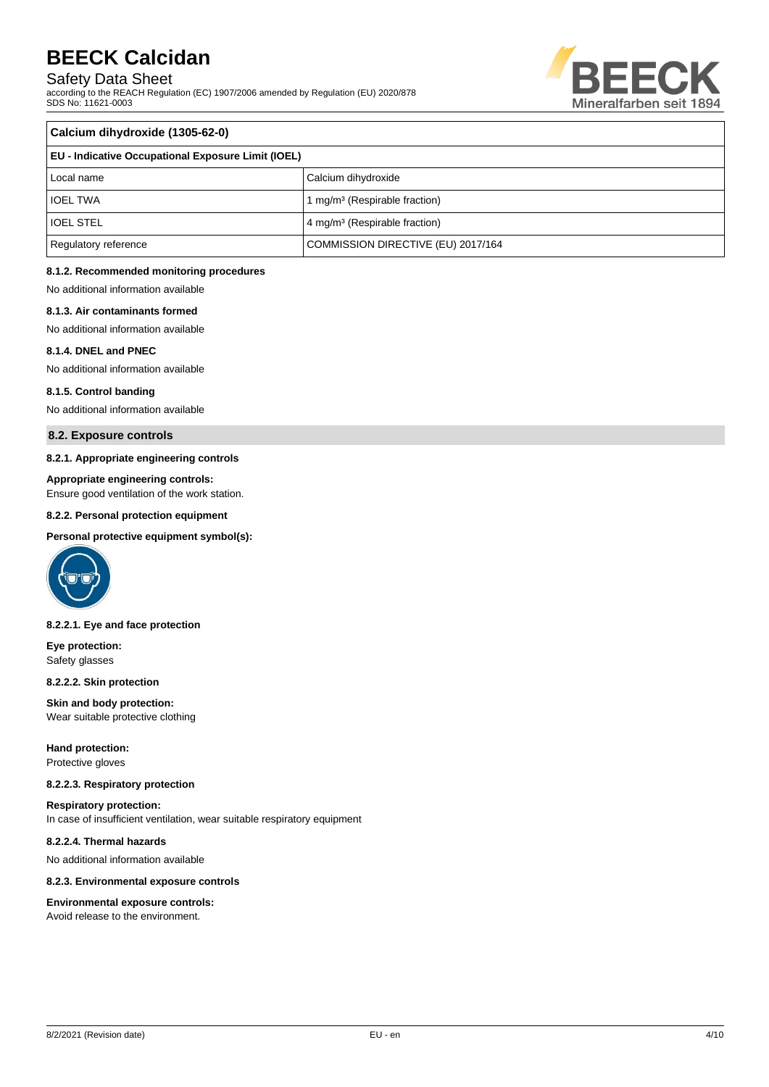Safety Data Sheet

according to the REACH Regulation (EC) 1907/2006 amended by Regulation (EU) 2020/878 SDS No: 11621-0003



| Calcium dihydroxide (1305-62-0)                    |                                           |  |
|----------------------------------------------------|-------------------------------------------|--|
| EU - Indicative Occupational Exposure Limit (IOEL) |                                           |  |
| Local name                                         | Calcium dihydroxide                       |  |
| <b>IOEL TWA</b>                                    | 1 mg/m <sup>3</sup> (Respirable fraction) |  |
| <b>IOEL STEL</b>                                   | 4 mg/m <sup>3</sup> (Respirable fraction) |  |
| Regulatory reference                               | COMMISSION DIRECTIVE (EU) 2017/164        |  |

## **8.1.2. Recommended monitoring procedures**

No additional information available

#### **8.1.3. Air contaminants formed**

No additional information available

#### **8.1.4. DNEL and PNEC**

No additional information available

#### **8.1.5. Control banding**

No additional information available

### **8.2. Exposure controls**

#### **8.2.1. Appropriate engineering controls**

#### **Appropriate engineering controls:**

Ensure good ventilation of the work station.

#### **8.2.2. Personal protection equipment**

#### **Personal protective equipment symbol(s):**



#### **8.2.2.1. Eye and face protection**

**Eye protection:** Safety glasses

#### **8.2.2.2. Skin protection**

**Skin and body protection:** Wear suitable protective clothing

#### **Hand protection:** Protective gloves

#### **8.2.2.3. Respiratory protection**

**Respiratory protection:** In case of insufficient ventilation, wear suitable respiratory equipment

## **8.2.2.4. Thermal hazards**

No additional information available

#### **8.2.3. Environmental exposure controls**

#### **Environmental exposure controls:** Avoid release to the environment.

8/2/2021 (Revision date) EU - en 4/10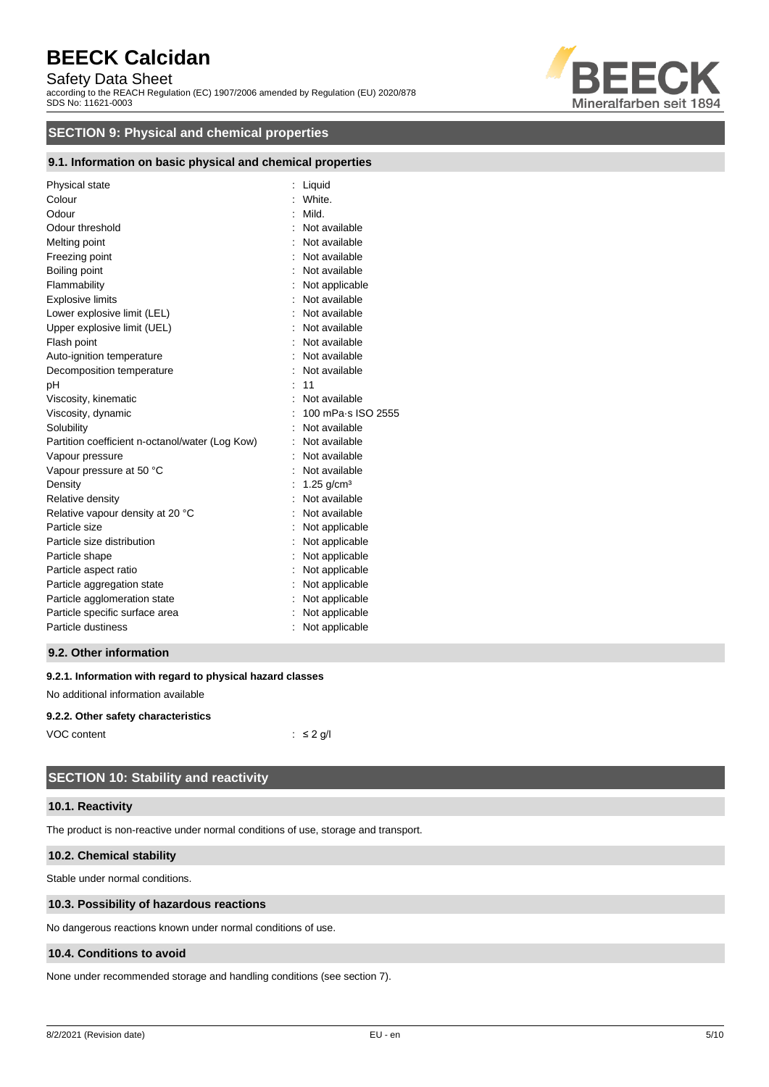## Safety Data Sheet

according to the REACH Regulation (EC) 1907/2006 amended by Regulation (EU) 2020/878 SDS No: 11621-0003



## **SECTION 9: Physical and chemical properties**

## **9.1. Information on basic physical and chemical properties**

| Physical state<br>Colour<br>Odour<br>Odour threshold | Liquid<br>White.<br>Mild.<br>Not available |
|------------------------------------------------------|--------------------------------------------|
| Melting point                                        | Not available                              |
| Freezing point                                       | : Not available                            |
| Boiling point                                        | Not available                              |
| Flammability                                         | Not applicable                             |
| <b>Explosive limits</b>                              | Not available                              |
| Lower explosive limit (LEL)                          | Not available                              |
| Upper explosive limit (UEL)                          | : Not available                            |
| Flash point                                          | Not available                              |
| Auto-ignition temperature                            | Not available                              |
| Decomposition temperature                            | Not available                              |
| рH                                                   | 11                                         |
| Viscosity, kinematic                                 | Not available                              |
| Viscosity, dynamic                                   | 100 mPa·s ISO 2555                         |
| Solubility                                           | Not available                              |
| Partition coefficient n-octanol/water (Log Kow)      | Not available                              |
| Vapour pressure                                      | Not available                              |
| Vapour pressure at 50 °C                             | Not available                              |
| Density                                              | : 1.25 g/cm <sup>3</sup>                   |
| Relative density                                     | Not available                              |
| Relative vapour density at 20 °C                     | Not available                              |
| Particle size                                        | Not applicable                             |
| Particle size distribution                           | Not applicable                             |
| Particle shape                                       | Not applicable                             |
| Particle aspect ratio                                | Not applicable                             |
| Particle aggregation state                           | Not applicable                             |
| Particle agglomeration state                         | Not applicable                             |
| Particle specific surface area                       | Not applicable                             |
| Particle dustiness                                   | Not applicable                             |
|                                                      |                                            |

## **9.2. Other information**

#### **9.2.1. Information with regard to physical hazard classes**

No additional information available

#### **9.2.2. Other safety characteristics**

| VOC content | $\therefore$ $\leq$ 2 g/l |
|-------------|---------------------------|

## **SECTION 10: Stability and reactivity**

#### **10.1. Reactivity**

The product is non-reactive under normal conditions of use, storage and transport.

## **10.2. Chemical stability**

Stable under normal conditions.

#### **10.3. Possibility of hazardous reactions**

No dangerous reactions known under normal conditions of use.

### **10.4. Conditions to avoid**

None under recommended storage and handling conditions (see section 7).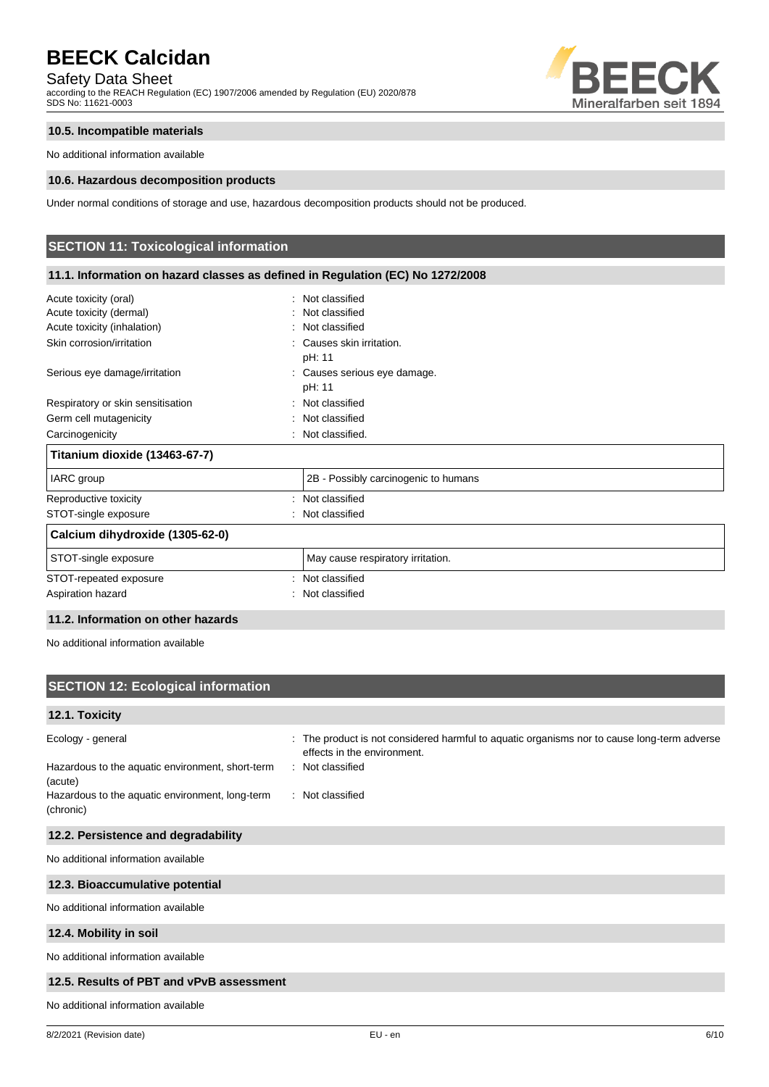Safety Data Sheet

according to the REACH Regulation (EC) 1907/2006 amended by Regulation (EU) 2020/878 SDS No: 11621-0003



## **10.5. Incompatible materials**

No additional information available

#### **10.6. Hazardous decomposition products**

Under normal conditions of storage and use, hazardous decomposition products should not be produced.

## **SECTION 11: Toxicological information**

| 11.1. Information on hazard classes as defined in Regulation (EC) No 1272/2008                               |                                                                                           |  |  |  |  |
|--------------------------------------------------------------------------------------------------------------|-------------------------------------------------------------------------------------------|--|--|--|--|
| Acute toxicity (oral)<br>Acute toxicity (dermal)<br>Acute toxicity (inhalation)<br>Skin corrosion/irritation | Not classified<br>Not classified<br>: Not classified<br>Causes skin irritation.<br>pH: 11 |  |  |  |  |
| Serious eye damage/irritation                                                                                | : Causes serious eye damage.<br>pH: 11                                                    |  |  |  |  |
| Respiratory or skin sensitisation                                                                            | Not classified                                                                            |  |  |  |  |
| Germ cell mutagenicity                                                                                       | Not classified                                                                            |  |  |  |  |
| Carcinogenicity                                                                                              | Not classified.                                                                           |  |  |  |  |
| Titanium dioxide (13463-67-7)                                                                                |                                                                                           |  |  |  |  |
| IARC group                                                                                                   | 2B - Possibly carcinogenic to humans                                                      |  |  |  |  |
| Reproductive toxicity                                                                                        | Not classified                                                                            |  |  |  |  |
| STOT-single exposure                                                                                         | Not classified                                                                            |  |  |  |  |
| Calcium dihydroxide (1305-62-0)                                                                              |                                                                                           |  |  |  |  |
| STOT-single exposure                                                                                         | May cause respiratory irritation.                                                         |  |  |  |  |
| STOT-repeated exposure                                                                                       | Not classified                                                                            |  |  |  |  |
| Aspiration hazard                                                                                            | Not classified                                                                            |  |  |  |  |

### **11.2. Information on other hazards**

No additional information available

## **SECTION 12: Ecological information**

## **12.1. Toxicity**

| Ecology - general                                            | : The product is not considered harmful to aquatic organisms nor to cause long-term adverse<br>effects in the environment. |
|--------------------------------------------------------------|----------------------------------------------------------------------------------------------------------------------------|
| Hazardous to the aquatic environment, short-term<br>(acute)  | Not classified                                                                                                             |
| Hazardous to the aquatic environment, long-term<br>(chronic) | Not classified                                                                                                             |
| 12.2. Persistence and degradability                          |                                                                                                                            |

No additional information available

### **12.3. Bioaccumulative potential**

No additional information available

## **12.4. Mobility in soil**

No additional information available

## **12.5. Results of PBT and vPvB assessment**

No additional information available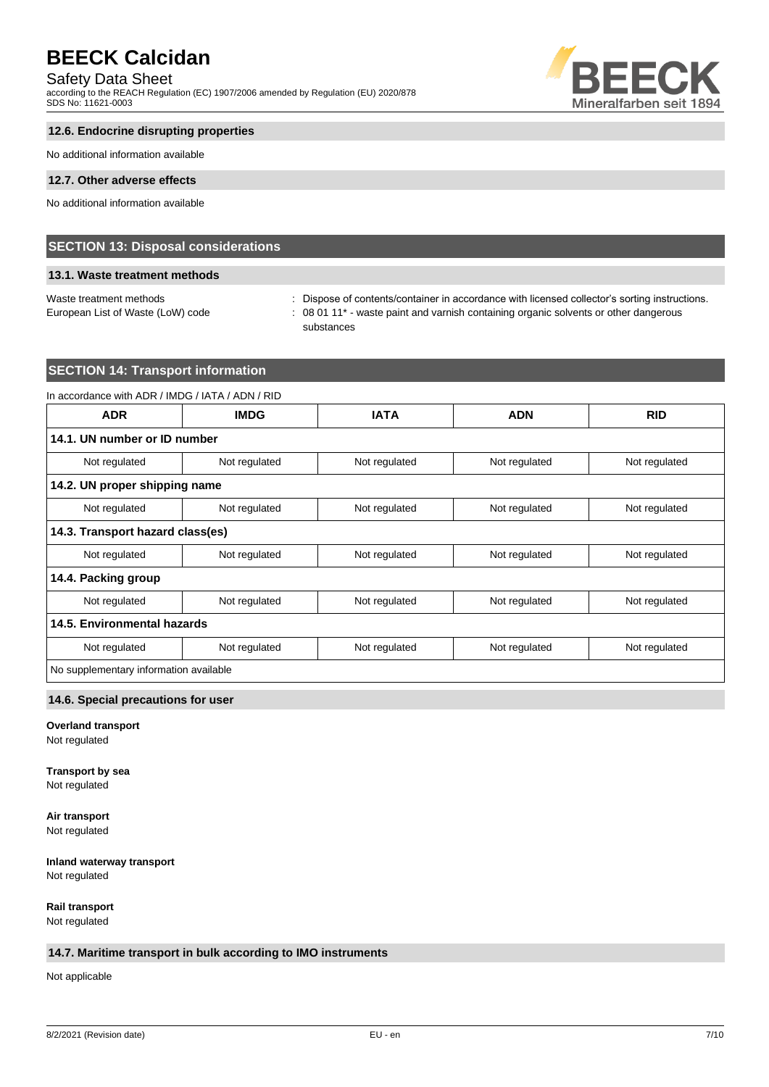## Safety Data Sheet

according to the REACH Regulation (EC) 1907/2006 amended by Regulation (EU) 2020/878 SDS No: 11621-0003



## **12.6. Endocrine disrupting properties**

No additional information available

#### **12.7. Other adverse effects**

No additional information available

## **SECTION 13: Disposal considerations**

## **13.1. Waste treatment methods**

Waste treatment methods : Dispose of contents/container in accordance with licensed collector's sorting instructions. European List of Waste (LoW) code : 08 01 11<sup>\*</sup> - waste paint and varnish containing organic solvents or other dangerous substances

## **SECTION 14: Transport information**

## In accordance with ADR / IMDG / IATA / ADN / RID **ADR IMDG IATA ADN RID 14.1. UN number or ID number** Not regulated Not regulated Not regulated Not regulated Not regulated Not regulated Not regulated **14.2. UN proper shipping name** Not regulated Not regulated Not regulated Not regulated Not regulated Not regulated Not regulated **14.3. Transport hazard class(es)** Not regulated Not regulated Not regulated Not regulated Not regulated Not regulated Not regulated **14.4. Packing group** Not regulated Not regulated Not regulated Not regulated Not regulated Not regulated Not regulated **14.5. Environmental hazards** Not regulated Not regulated Not regulated Not regulated Not regulated Not regulated Not regulated No supplementary information available

## **14.6. Special precautions for user**

## **Overland transport**

Not regulated

#### **Transport by sea**

Not regulated

## **Air transport**

Not regulated

## **Inland waterway transport**

Not regulated

**Rail transport** Not regulated

## **14.7. Maritime transport in bulk according to IMO instruments**

Not applicable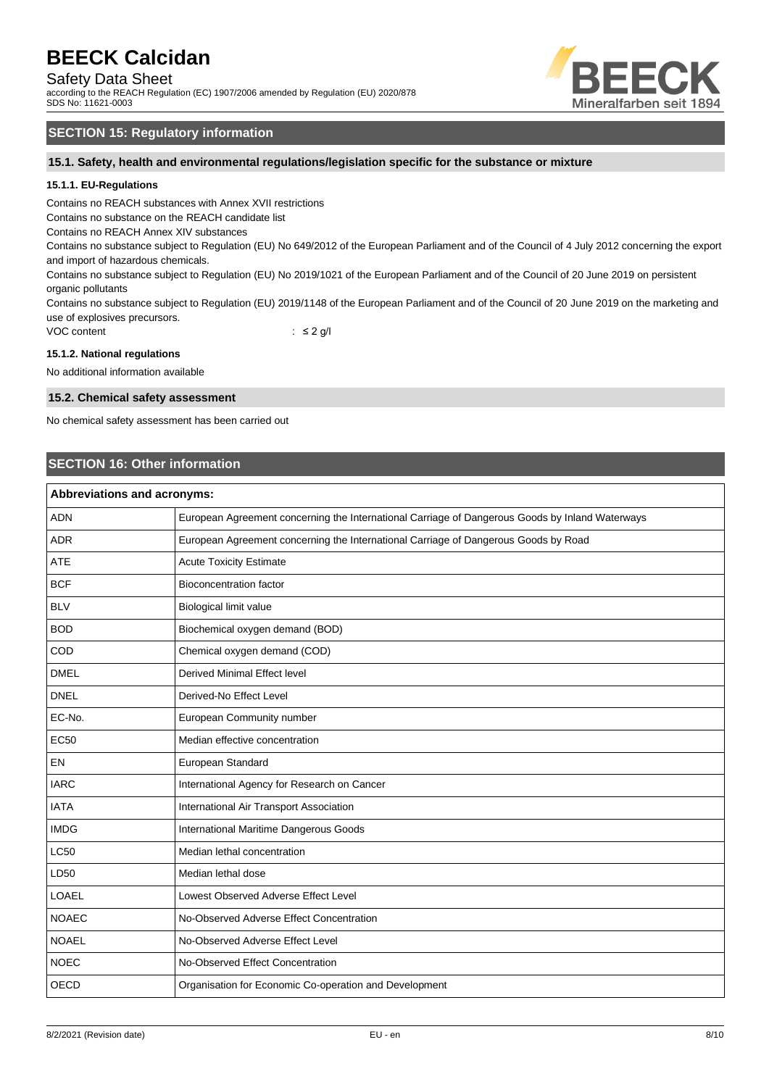## Safety Data Sheet

according to the REACH Regulation (EC) 1907/2006 amended by Regulation (EU) 2020/878 SDS No: 11621-0003



## **SECTION 15: Regulatory information**

**15.1. Safety, health and environmental regulations/legislation specific for the substance or mixture**

### **15.1.1. EU-Regulations**

Contains no REACH substances with Annex XVII restrictions

Contains no substance on the REACH candidate list

Contains no REACH Annex XIV substances

Contains no substance subject to Regulation (EU) No 649/2012 of the European Parliament and of the Council of 4 July 2012 concerning the export and import of hazardous chemicals.

Contains no substance subject to Regulation (EU) No 2019/1021 of the European Parliament and of the Council of 20 June 2019 on persistent organic pollutants

Contains no substance subject to Regulation (EU) 2019/1148 of the European Parliament and of the Council of 20 June 2019 on the marketing and use of explosives precursors.

VOC content : ≤ 2 g/l

#### **15.1.2. National regulations**

No additional information available

#### **15.2. Chemical safety assessment**

No chemical safety assessment has been carried out

## **SECTION 16: Other information**

| <b>Abbreviations and acronyms:</b> |                                                                                                 |  |  |
|------------------------------------|-------------------------------------------------------------------------------------------------|--|--|
| <b>ADN</b>                         | European Agreement concerning the International Carriage of Dangerous Goods by Inland Waterways |  |  |
| <b>ADR</b>                         | European Agreement concerning the International Carriage of Dangerous Goods by Road             |  |  |
| <b>ATE</b>                         | <b>Acute Toxicity Estimate</b>                                                                  |  |  |
| <b>BCF</b>                         | <b>Bioconcentration factor</b>                                                                  |  |  |
| <b>BLV</b>                         | Biological limit value                                                                          |  |  |
| <b>BOD</b>                         | Biochemical oxygen demand (BOD)                                                                 |  |  |
| COD                                | Chemical oxygen demand (COD)                                                                    |  |  |
| <b>DMEL</b>                        | <b>Derived Minimal Effect level</b>                                                             |  |  |
| <b>DNEL</b>                        | Derived-No Effect Level                                                                         |  |  |
| EC-No.                             | European Community number                                                                       |  |  |
| <b>EC50</b>                        | Median effective concentration                                                                  |  |  |
| EN                                 | European Standard                                                                               |  |  |
| <b>IARC</b>                        | International Agency for Research on Cancer                                                     |  |  |
| <b>IATA</b>                        | International Air Transport Association                                                         |  |  |
| <b>IMDG</b>                        | International Maritime Dangerous Goods                                                          |  |  |
| <b>LC50</b>                        | Median lethal concentration                                                                     |  |  |
| LD50                               | Median lethal dose                                                                              |  |  |
| LOAEL                              | Lowest Observed Adverse Effect Level                                                            |  |  |
| <b>NOAEC</b>                       | No-Observed Adverse Effect Concentration                                                        |  |  |
| <b>NOAEL</b>                       | No-Observed Adverse Effect Level                                                                |  |  |
| <b>NOEC</b>                        | No-Observed Effect Concentration                                                                |  |  |
| <b>OECD</b>                        | Organisation for Economic Co-operation and Development                                          |  |  |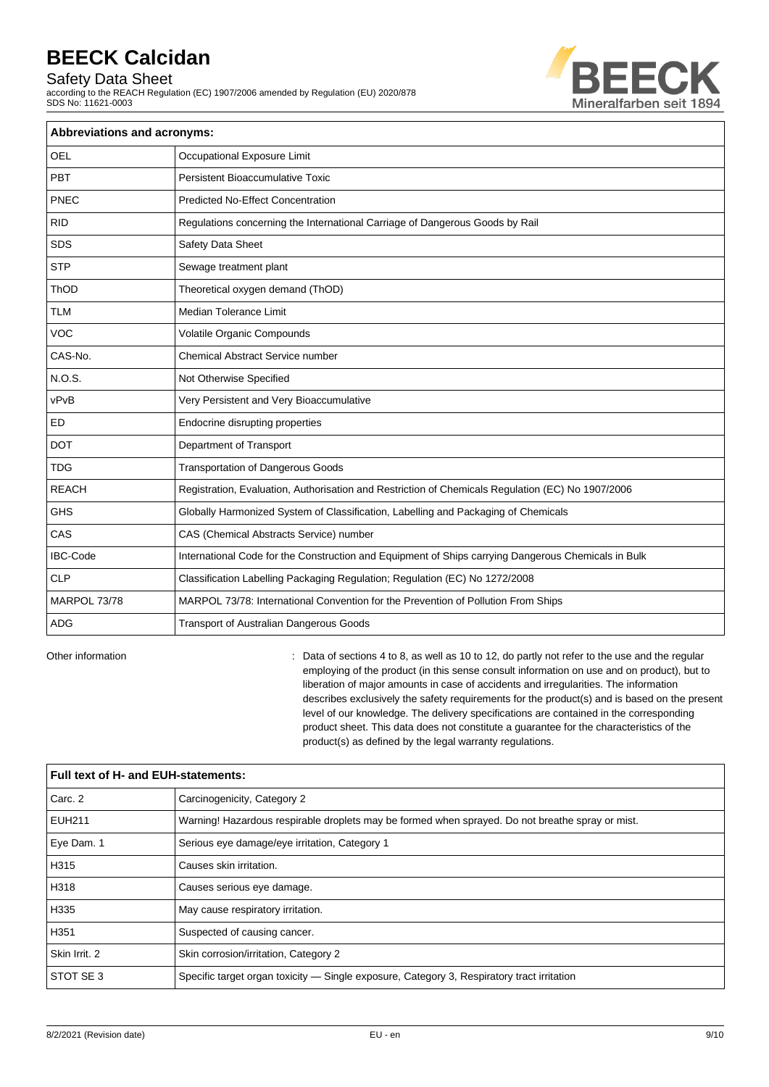Safety Data Sheet

according to the REACH Regulation (EC) 1907/2006 amended by Regulation (EU) 2020/878 SDS No: 11621-0003



| <b>Abbreviations and acronyms:</b> |                                                                                                     |  |  |  |
|------------------------------------|-----------------------------------------------------------------------------------------------------|--|--|--|
| <b>OEL</b>                         | Occupational Exposure Limit                                                                         |  |  |  |
| PBT                                | Persistent Bioaccumulative Toxic                                                                    |  |  |  |
| PNEC                               | <b>Predicted No-Effect Concentration</b>                                                            |  |  |  |
| <b>RID</b>                         | Regulations concerning the International Carriage of Dangerous Goods by Rail                        |  |  |  |
| <b>SDS</b>                         | Safety Data Sheet                                                                                   |  |  |  |
| <b>STP</b>                         | Sewage treatment plant                                                                              |  |  |  |
| ThOD                               | Theoretical oxygen demand (ThOD)                                                                    |  |  |  |
| <b>TLM</b>                         | <b>Median Tolerance Limit</b>                                                                       |  |  |  |
| <b>VOC</b>                         | Volatile Organic Compounds                                                                          |  |  |  |
| CAS-No.                            | <b>Chemical Abstract Service number</b>                                                             |  |  |  |
| <b>N.O.S.</b>                      | Not Otherwise Specified                                                                             |  |  |  |
| vPvB                               | Very Persistent and Very Bioaccumulative                                                            |  |  |  |
| ED                                 | Endocrine disrupting properties                                                                     |  |  |  |
| <b>DOT</b>                         | Department of Transport                                                                             |  |  |  |
| <b>TDG</b>                         | Transportation of Dangerous Goods                                                                   |  |  |  |
| <b>REACH</b>                       | Registration, Evaluation, Authorisation and Restriction of Chemicals Regulation (EC) No 1907/2006   |  |  |  |
| <b>GHS</b>                         | Globally Harmonized System of Classification, Labelling and Packaging of Chemicals                  |  |  |  |
| CAS                                | CAS (Chemical Abstracts Service) number                                                             |  |  |  |
| <b>IBC-Code</b>                    | International Code for the Construction and Equipment of Ships carrying Dangerous Chemicals in Bulk |  |  |  |
| <b>CLP</b>                         | Classification Labelling Packaging Regulation; Regulation (EC) No 1272/2008                         |  |  |  |
| MARPOL 73/78                       | MARPOL 73/78: International Convention for the Prevention of Pollution From Ships                   |  |  |  |
| <b>ADG</b>                         | Transport of Australian Dangerous Goods                                                             |  |  |  |

Other information **can be regular** : Data of sections 4 to 8, as well as 10 to 12, do partly not refer to the use and the regular employing of the product (in this sense consult information on use and on product), but to liberation of major amounts in case of accidents and irregularities. The information describes exclusively the safety requirements for the product(s) and is based on the present level of our knowledge. The delivery specifications are contained in the corresponding product sheet. This data does not constitute a guarantee for the characteristics of the product(s) as defined by the legal warranty regulations.

| Full text of H- and EUH-statements: |                                                                                                  |  |  |
|-------------------------------------|--------------------------------------------------------------------------------------------------|--|--|
| Carc. 2                             | Carcinogenicity, Category 2                                                                      |  |  |
| <b>EUH211</b>                       | Warning! Hazardous respirable droplets may be formed when sprayed. Do not breathe spray or mist. |  |  |
| Eye Dam. 1                          | Serious eye damage/eye irritation, Category 1                                                    |  |  |
| H315                                | Causes skin irritation.                                                                          |  |  |
| H318                                | Causes serious eye damage.                                                                       |  |  |
| H335                                | May cause respiratory irritation.                                                                |  |  |
| H351                                | Suspected of causing cancer.                                                                     |  |  |
| Skin Irrit, 2                       | Skin corrosion/irritation, Category 2                                                            |  |  |
| STOT SE 3                           | Specific target organ toxicity - Single exposure, Category 3, Respiratory tract irritation       |  |  |